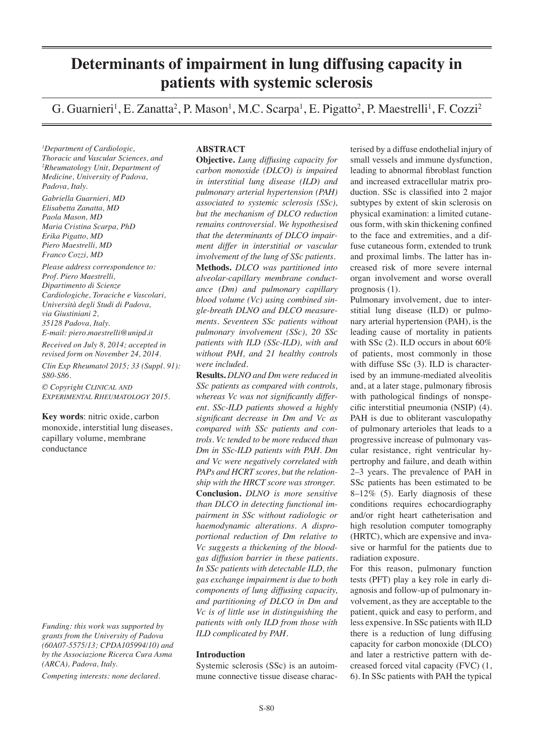# **Determinants of impairment in lung diffusing capacity in patients with systemic sclerosis**

G. Guarnieri<sup>1</sup>, E. Zanatta<sup>2</sup>, P. Mason<sup>1</sup>, M.C. Scarpa<sup>1</sup>, E. Pigatto<sup>2</sup>, P. Maestrelli<sup>1</sup>, F. Cozzi<sup>2</sup>

*1 Department of Cardiologic, Thoracic and Vascular Sciences, and 2 Rheumatology Unit, Department of Medicine, University of Padova, Padova, Italy.*

*Gabriella Guarnieri, MD Elisabetta Zanatta, MD Paola Mason, MD Maria Cristina Scarpa, PhD Erika Pigatto, MD Piero Maestrelli, MD Franco Cozzi, MD*

*Please address correspondence to: Prof. Piero Maestrelli, Dipartimento di Scienze Cardiologiche, Toraciche e Vascolari, Università degli Studi di Padova, via Giustiniani 2, 35128 Padova, Italy. E-mail: piero.maestrelli@unipd.it*

*Received on July 8, 2014; accepted in revised form on November 24, 2014. Clin Exp Rheumatol 2015; 33 (Suppl. 91): S80-S86.*

*© Copyright Clinical and Experimental Rheumatology 2015.*

**Key words**: nitric oxide, carbon monoxide, interstitial lung diseases, capillary volume, membrane conductance

*Funding: this work was supported by grants from the University of Padova (60A07-5575/13; CPDA105994/10) and by the Associazione Ricerca Cura Asma (ARCA), Padova, Italy.*

*Competing interests: none declared.*

# **ABSTRACT**

**Objective.** *Lung diffusing capacity for carbon monoxide (DLCO) is impaired in interstitial lung disease (ILD) and pulmonary arterial hypertension (PAH) associated to systemic sclerosis (SSc), but the mechanism of DLCO reduction remains controversial. We hypothesised that the determinants of DLCO impairment differ in interstitial or vascular involvement of the lung of SSc patients.*  **Methods.** *DLCO was partitioned into alveolar-capillary membrane conductance (Dm) and pulmonary capillary blood volume (Vc) using combined single-breath DLNO and DLCO measurements. Seventeen SSc patients without pulmonary involvement (SSc), 20 SSc patients with ILD (SSc-ILD), with and without PAH, and 21 healthy controls were included.*

**Results.** *DLNO and Dm were reduced in SSc patients as compared with controls, whereas Vc was not significantly different. SSc-ILD patients showed a highly significant decrease in Dm and Vc as compared with SSc patients and controls. Vc tended to be more reduced than Dm in SSc-ILD patients with PAH. Dm and Vc were negatively correlated with PAPs and HCRT scores, but the relationship with the HRCT score was stronger.* **Conclusion.** *DLNO is more sensitive than DLCO in detecting functional impairment in SSc without radiologic or haemodynamic alterations. A disproportional reduction of Dm relative to Vc suggests a thickening of the bloodgas diffusion barrier in these patients. In SSc patients with detectable ILD, the gas exchange impairment is due to both components of lung diffusing capacity, and partitioning of DLCO in Dm and Vc is of little use in distinguishing the patients with only ILD from those with ILD complicated by PAH.* 

#### **Introduction**

Systemic sclerosis (SSc) is an autoimmune connective tissue disease characterised by a diffuse endothelial injury of small vessels and immune dysfunction, leading to abnormal fibroblast function and increased extracellular matrix production. SSc is classified into 2 major subtypes by extent of skin sclerosis on physical examination: a limited cutaneous form, with skin thickening confined to the face and extremities, and a diffuse cutaneous form, extended to trunk and proximal limbs. The latter has increased risk of more severe internal organ involvement and worse overall prognosis (1).

Pulmonary involvement, due to interstitial lung disease (ILD) or pulmonary arterial hypertension (PAH), is the leading cause of mortality in patients with SSc (2). ILD occurs in about 60% of patients, most commonly in those with diffuse SSc (3). ILD is characterised by an immune-mediated alveolitis and, at a later stage, pulmonary fibrosis with pathological findings of nonspecific interstitial pneumonia (NSIP) (4). PAH is due to obliterant vasculopathy of pulmonary arterioles that leads to a progressive increase of pulmonary vascular resistance, right ventricular hypertrophy and failure, and death within 2–3 years. The prevalence of PAH in SSc patients has been estimated to be 8–12% (5). Early diagnosis of these conditions requires echocardiography and/or right heart catheterisation and high resolution computer tomography (HRTC), which are expensive and invasive or harmful for the patients due to radiation exposure.

For this reason, pulmonary function tests (PFT) play a key role in early diagnosis and follow-up of pulmonary involvement, as they are acceptable to the patient, quick and easy to perform, and less expensive. In SSc patients with ILD there is a reduction of lung diffusing capacity for carbon monoxide (DLCO) and later a restrictive pattern with decreased forced vital capacity (FVC) (1, 6). In SSc patients with PAH the typical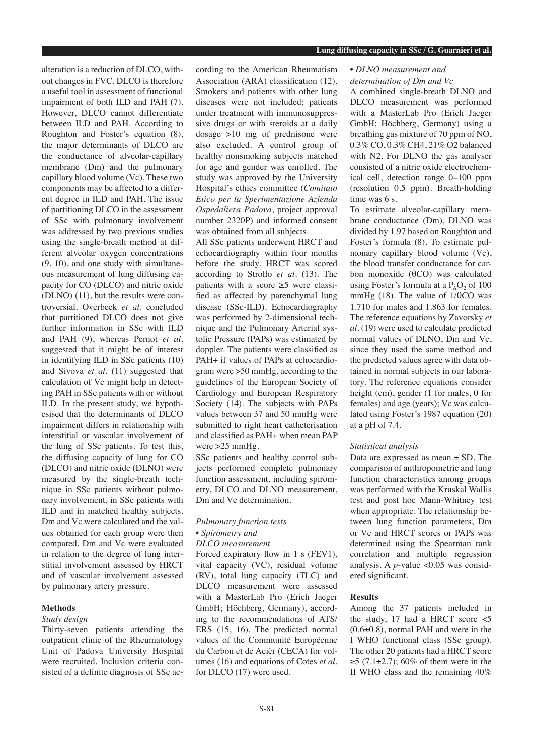alteration is a reduction of DLCO, without changes in FVC. DLCO is therefore a useful tool in assessment of functional impairment of both ILD and PAH (7). However, DLCO cannot differentiate between ILD and PAH. According to Roughton and Foster's equation (8), the major determinants of DLCO are the conductance of alveolar-capillary membrane (Dm) and the pulmonary capillary blood volume (Vc). These two components may be affected to a different degree in ILD and PAH. The issue of partitioning DLCO in the assessment of SSc with pulmonary involvement was addressed by two previous studies using the single-breath method at different alveolar oxygen concentrations (9, 10), and one study with simultaneous measurement of lung diffusing capacity for CO (DLCO) and nitric oxide (DLNO) (11), but the results were controversial. Overbeek *et al.* concluded that partitioned DLCO does not give further information in SSc with ILD and PAH (9), whereas Pernot *et al.*  suggested that it might be of interest in identifying ILD in SSc patients (10) and Sivova *et al.* (11) suggested that calculation of Vc might help in detecting PAH in SSc patients with or without ILD. In the present study, we hypothesised that the determinants of DLCO impairment differs in relationship with interstitial or vascular involvement of the lung of SSc patients. To test this, the diffusing capacity of lung for CO (DLCO) and nitric oxide (DLNO) were measured by the single-breath technique in SSc patients without pulmonary involvement, in SSc patients with ILD and in matched healthy subjects. Dm and Vc were calculated and the values obtained for each group were then compared. Dm and Vc were evaluated in relation to the degree of lung interstitial involvement assessed by HRCT and of vascular involvement assessed by pulmonary artery pressure.

#### **Methods**

#### *Study design*

Thirty-seven patients attending the outpatient clinic of the Rheumatology Unit of Padova University Hospital were recruited. Inclusion criteria consisted of a definite diagnosis of SSc according to the American Rheumatism Association (ARA) classification (12). Smokers and patients with other lung diseases were not included; patients under treatment with immunosuppressive drugs or with steroids at a daily dosage >10 mg of prednisone were also excluded. A control group of healthy nonsmoking subjects matched for age and gender was enrolled. The study was approved by the University Hospital's ethics committee (*Comitato Etico per la Sperimentazione Azienda Ospedaliera Padova*, project approval number 2320P) and informed consent was obtained from all subjects.

All SSc patients underwent HRCT and echocardiography within four months before the study. HRCT was scored according to Strollo *et al.* (13). The patients with a score  $\geq$ 5 were classified as affected by parenchymal lung disease (SSc-ILD). Echocardiography was performed by 2-dimensional technique and the Pulmonary Arterial systolic Pressure (PAPs) was estimated by doppler. The patients were classified as PAH+ if values of PAPs at echocardiogram were >50 mmHg, according to the guidelines of the European Society of Cardiology and European Respiratory Society (14). The subjects with PAPs values between 37 and 50 mmHg were submitted to right heart catheterisation and classified as PAH+ when mean PAP were >25 mmHg.

SSc patients and healthy control subjects performed complete pulmonary function assessment, including spirometry, DLCO and DLNO measurement, Dm and Vc determination.

# *Pulmonary function tests*

#### *• Spirometry and DLCO measurement*

Forced expiratory flow in 1 s (FEV1), vital capacity (VC), residual volume (RV), total lung capacity (TLC) and DLCO measurement were assessed with a MasterLab Pro (Erich Jaeger GmbH; Höchberg, Germany), according to the recommendations of ATS/ ERS (15, 16). The predicted normal values of the Communité Européenne du Carbon et de Acièr (CECA) for volumes (16) and equations of Cotes *et al.* for DLCO (17) were used.

# *• DLNO measurement and determination of Dm and Vc*

A combined single-breath DLNO and DLCO measurement was performed with a MasterLab Pro (Erich Jaeger GmbH; Höchberg, Germany) using a breathing gas mixture of 70 ppm of NO, 0.3% CO, 0.3% CH4, 21% O2 balanced with N2. For DLNO the gas analyser consisted of a nitric oxide electrochemical cell, detection range 0–100 ppm (resolution 0.5 ppm). Breath-holding time was 6 s.

To estimate alveolar-capillary membrane conductance (Dm), DLNO was divided by 1.97 based on Roughton and Foster's formula (8). To estimate pulmonary capillary blood volume (Vc), the blood transfer conductance for carbon monoxide (θCO) was calculated using Foster's formula at a  $P_0O_2$  of 100 mmHg (18). The value of 1/θCO was 1.710 for males and 1.863 for females. The reference equations by Zavorsky *et al.* (19) were used to calculate predicted normal values of DLNO, Dm and Vc, since they used the same method and the predicted values agree with data obtained in normal subjects in our laboratory. The reference equations consider height (cm), gender (1 for males, 0 for females) and age (years); Vc was calculated using Foster's 1987 equation (20) at a pH of 7.4.

# *Statistical analysis*

Data are expressed as mean  $\pm$  SD. The comparison of anthropometric and lung function characteristics among groups was performed with the Kruskal Wallis test and post hoc Mann-Whitney test when appropriate. The relationship between lung function parameters, Dm or Vc and HRCT scores or PAPs was determined using the Spearman rank correlation and multiple regression analysis. A *p*-value <0.05 was considered significant.

# **Results**

Among the 37 patients included in the study, 17 had a HRCT score <5  $(0.6\pm0.8)$ , normal PAH and were in the I WHO functional class (SSc group). The other 20 patients had a HRCT score  $≥5$  (7.1±2.7); 60% of them were in the II WHO class and the remaining 40%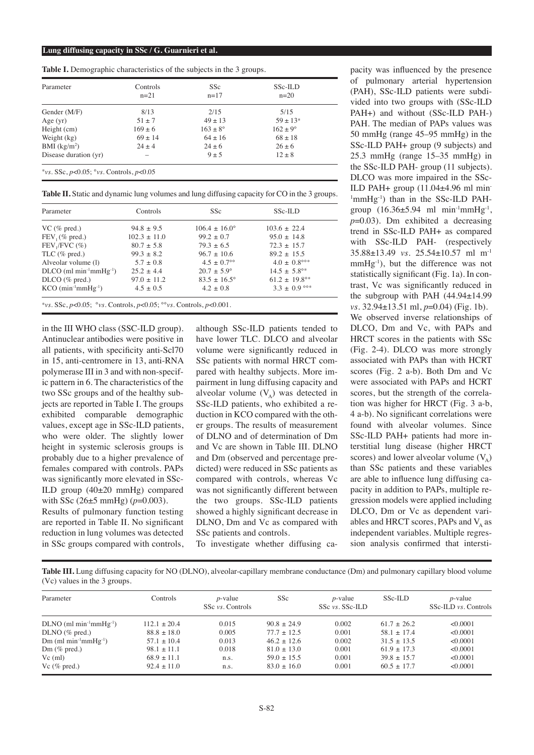**Table I.** Demographic characteristics of the subjects in the 3 groups.

| Parameter                                    | Controls<br>$n=21$ | <b>SSc</b><br>$n=17$ | SSc-ILD<br>$n=20$ |  |
|----------------------------------------------|--------------------|----------------------|-------------------|--|
| Gender $(M/F)$                               | 8/13               | 2/15                 | 5/15              |  |
| Age $(yr)$                                   | $51 \pm 7$         | $49 + 13$            | $59 + 13*$        |  |
| Height (cm)                                  | $169 \pm 6$        | $163 \pm 8^{\circ}$  | $162 + 9^{\circ}$ |  |
| Weight $(kg)$                                | $69 \pm 14$        | $64 \pm 16$          | $68 \pm 18$       |  |
| BMI $(kg/m2)$                                | $24 + 4$           | $24 + 6$             | $26 + 6$          |  |
| Disease duration (yr)                        |                    | $9 + 5$              | $12 \pm 8$        |  |
| *vs. SSc. $p<0.05$ ; °vs. Controls, $p<0.05$ |                    |                      |                   |  |

**Table II.** Static and dynamic lung volumes and lung diffusing capacity for CO in the 3 groups.

| Parameter                                        | Controls         | <b>SSc</b>                | SSc-ILD                     |  |
|--------------------------------------------------|------------------|---------------------------|-----------------------------|--|
| VC ( $\%$ pred.)                                 | $94.8 + 9.5$     | $106.4 + 16.0^{\circ}$    | $103.6 + 22.4$              |  |
| $FEV1(\% pred.)$                                 | $102.3 \pm 11.0$ | $99.2 + 0.7$              | $95.0 + 14.8$               |  |
| $FEV, /FVC$ (%)                                  | $80.7 \pm 5.8$   | $79.3 + 6.5$              | $72.3 \pm 15.7$             |  |
| TLC $(\%$ pred.)                                 | $99.3 + 8.2$     | $96.7 + 10.6$             | $89.2 + 15.5$               |  |
| Alveolar volume (1)                              | $5.7 \pm 0.8$    | $4.5 + 0.7$ <sup>oo</sup> | $4.0 \pm 0.8^{\circ\circ*}$ |  |
| $DLO$ (ml min <sup>-1</sup> mmHg <sup>-1</sup> ) | $25.2 \pm 4.4$   | $20.7 \pm 5.9^{\circ}$    | $14.5 \pm 5.8^{\circ*}$     |  |
| $DLO(\% pred.)$                                  | $97.0 \pm 11.2$  | $83.5 + 16.5^{\circ}$     | $61.2 \pm 19.8^{\circ*}$    |  |
| $KCO$ (min <sup>-1</sup> mm $Hg^{-1}$ )          | $4.5 + 0.5$      | $4.2 \pm 0.8$             | $3.3 \pm 0.9$ °°*           |  |

in the III WHO class (SSC-ILD group). Antinuclear antibodies were positive in all patients, with specificity anti-Scl70 in 15, anti-centromere in 13, anti-RNA polymerase III in 3 and with non-specific pattern in 6. The characteristics of the two SSc groups and of the healthy subjects are reported in Table I. The groups exhibited comparable demographic values, except age in SSc-ILD patients, who were older. The slightly lower height in systemic sclerosis groups is probably due to a higher prevalence of females compared with controls. PAPs was significantly more elevated in SSc-ILD group (40±20 mmHg) compared with SSc (26±5 mmHg) (*p*=0.003).

Results of pulmonary function testing are reported in Table II. No significant reduction in lung volumes was detected in SSc groups compared with controls, although SSc-ILD patients tended to have lower TLC. DLCO and alveolar volume were significantly reduced in SSc patients with normal HRCT compared with healthy subjects. More impairment in lung diffusing capacity and alveolar volume  $(V_A)$  was detected in SSc-ILD patients, who exhibited a reduction in KCO compared with the other groups. The results of measurement of DLNO and of determination of Dm and Vc are shown in Table III. DLNO and Dm (observed and percentage predicted) were reduced in SSc patients as compared with controls, whereas Vc was not significantly different between the two groups. SSc-ILD patients showed a highly significant decrease in DLNO, Dm and Vc as compared with SSc patients and controls.

To investigate whether diffusing ca-

pacity was influenced by the presence of pulmonary arterial hypertension (PAH), SSc-ILD patients were subdivided into two groups with (SSc-ILD PAH+) and without (SSc-ILD PAH-) PAH. The median of PAPs values was 50 mmHg (range 45–95 mmHg) in the SSc-ILD PAH+ group (9 subjects) and 25.3 mmHg (range 15–35 mmHg) in the SSc-ILD PAH- group (11 subjects). DLCO was more impaired in the SSc-ILD PAH+ group (11.04±4.96 ml min-<sup>1</sup>mmHg<sup>-1</sup>) than in the SSc-ILD PAHgroup  $(16.36 \pm 5.94 \text{ ml } \text{min}^{-1} \text{mmHg}^{-1})$ , *p*=0.03). Dm exhibited a decreasing trend in SSc-ILD PAH+ as compared with SSc-ILD PAH- (respectively 35.88±13.49 *vs.* 25.54±10.57 ml m-1  $mmHg^{-1}$ ), but the difference was not statistically significant (Fig. 1a). In contrast, Vc was significantly reduced in the subgroup with PAH (44.94±14.99 *vs.* 32.94±13.51 ml, *p*=0.04) (Fig. 1b). We observed inverse relationships of DLCO, Dm and Vc, with PAPs and HRCT scores in the patients with SSc (Fig. 2-4). DLCO was more strongly associated with PAPs than with HCRT scores (Fig. 2 a-b). Both Dm and Vc were associated with PAPs and HCRT scores, but the strength of the correlation was higher for HRCT (Fig. 3 a-b, 4 a-b). No significant correlations were found with alveolar volumes. Since SSc-ILD PAH+ patients had more interstitial lung disease (higher HRCT scores) and lower alveolar volume  $(V_A)$ than SSc patients and these variables are able to influence lung diffusing capacity in addition to PAPs, multiple regression models were applied including DLCO, Dm or Vc as dependent variables and HRCT scores, PAPs and  $V_A$  as independent variables. Multiple regression analysis confirmed that intersti-

**Table III.** Lung diffusing capacity for NO (DLNO), alveolar-capillary membrane conductance (Dm) and pulmonary capillary blood volume (Vc) values in the 3 groups.

| Parameter                                   | Controls        | $p$ -value<br>SSc vs. Controls | SS <sub>c</sub> | $p$ -value<br>$SSc$ <i>vs.</i> $SSc$ - $ILD$ | SSc-ILD         | $p$ -value<br>SSc-ILD vs. Controls |
|---------------------------------------------|-----------------|--------------------------------|-----------------|----------------------------------------------|-----------------|------------------------------------|
|                                             |                 |                                |                 |                                              |                 |                                    |
| $DLNO$ (ml min <sup>-1</sup> mm $Hg^{-1}$ ) | $112.1 + 20.4$  | 0.015                          | $90.8 + 24.9$   | 0.002                                        | $61.7 + 26.2$   | < 0.0001                           |
| $DLNO$ (% pred.)                            | $88.8 \pm 18.0$ | 0.005                          | $77.7 + 12.5$   | 0.001                                        | $58.1 + 17.4$   | < 0.0001                           |
| $Dm$ (ml min <sup>-1</sup> mm $Hg^{-1}$ )   | $57.1 \pm 10.4$ | 0.013                          | $46.2 + 12.6$   | 0.002                                        | $31.5 \pm 13.5$ | < 0.0001                           |
| $Dm$ (% pred.)                              | $98.1 + 11.1$   | 0.018                          | $81.0 + 13.0$   | 0.001                                        | $61.9 + 17.3$   | < 0.0001                           |
| $Vc$ (ml)                                   | $68.9 + 11.1$   | n.s.                           | $59.0 + 15.5$   | 0.001                                        | $39.8 + 15.7$   | < 0.0001                           |
| Vc $(\%$ pred.)                             | $92.4 + 11.0$   | n.s.                           | $83.0 + 16.0$   | 0.001                                        | $60.5 + 17.7$   | < 0.0001                           |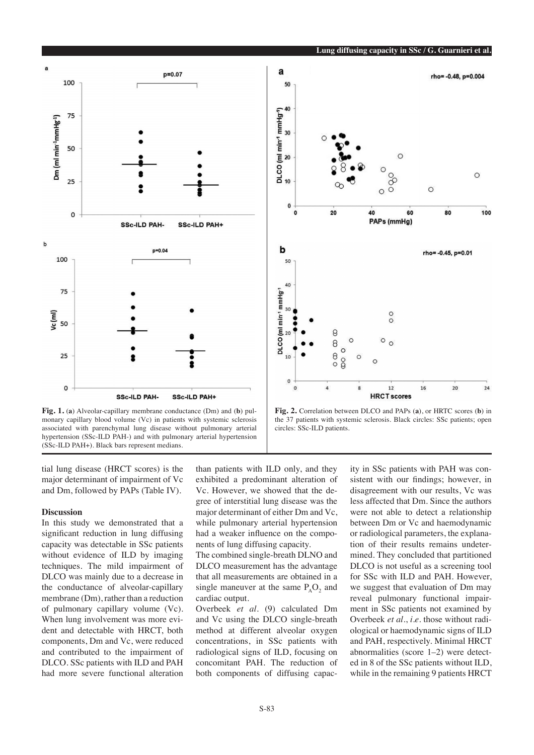

**Lung diffusing capacity in SSc / G. Guarnieri et al.**



**Fig. 1.** (**a**) Alveolar-capillary membrane conductance (Dm) and (**b**) pulmonary capillary blood volume (Vc) in patients with systemic sclerosis associated with parenchymal lung disease without pulmonary arterial hypertension (SSc-ILD PAH-) and with pulmonary arterial hypertension (SSc-ILD PAH+). Black bars represent medians.

**Fig. 2.** Correlation between DLCO and PAPs (**a**), or HRTC scores (**b**) in the 37 patients with systemic sclerosis. Black circles: SSc patients; open circles: SSc-ILD patients.

tial lung disease (HRCT scores) is the major determinant of impairment of Vc and Dm, followed by PAPs (Table IV).

#### **Discussion**

In this study we demonstrated that a significant reduction in lung diffusing capacity was detectable in SSc patients without evidence of ILD by imaging techniques. The mild impairment of DLCO was mainly due to a decrease in the conductance of alveolar-capillary membrane (Dm), rather than a reduction of pulmonary capillary volume (Vc). When lung involvement was more evident and detectable with HRCT, both components, Dm and Vc, were reduced and contributed to the impairment of DLCO. SSc patients with ILD and PAH had more severe functional alteration

than patients with ILD only, and they exhibited a predominant alteration of Vc. However, we showed that the degree of interstitial lung disease was the major determinant of either Dm and Vc, while pulmonary arterial hypertension had a weaker influence on the components of lung diffusing capacity.

The combined single-breath DLNO and DLCO measurement has the advantage that all measurements are obtained in a single maneuver at the same  $P_AO_2$  and cardiac output.

Overbeek *et al.* (9) calculated Dm and Vc using the DLCO single-breath method at different alveolar oxygen concentrations, in SSc patients with radiological signs of ILD, focusing on concomitant PAH. The reduction of both components of diffusing capac-

ity in SSc patients with PAH was consistent with our findings; however, in disagreement with our results, Vc was less affected that Dm. Since the authors were not able to detect a relationship between Dm or Vc and haemodynamic or radiological parameters, the explanation of their results remains undetermined. They concluded that partitioned DLCO is not useful as a screening tool for SSc with ILD and PAH. However, we suggest that evaluation of Dm may reveal pulmonary functional impairment in SSc patients not examined by Overbeek *et al.*, *i.e.* those without radiological or haemodynamic signs of ILD and PAH, respectively. Minimal HRCT abnormalities (score 1–2) were detected in 8 of the SSc patients without ILD, while in the remaining 9 patients HRCT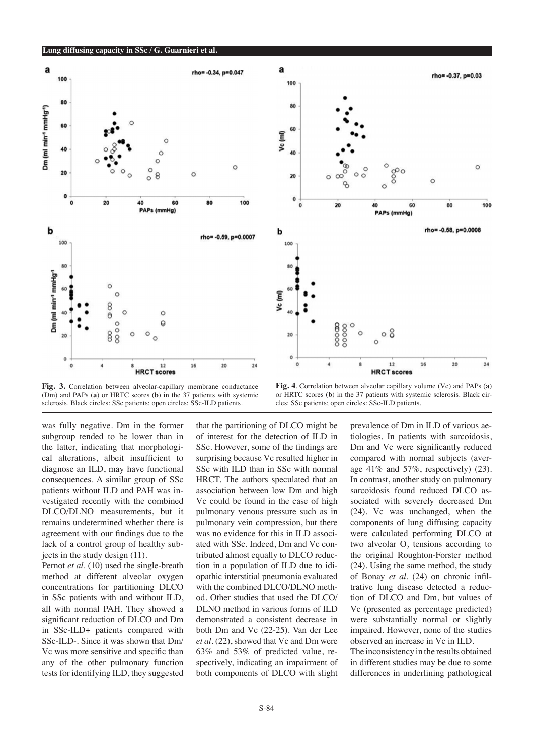

was fully negative. Dm in the former subgroup tended to be lower than in the latter, indicating that morphological alterations, albeit insufficient to diagnose an ILD, may have functional consequences. A similar group of SSc patients without ILD and PAH was investigated recently with the combined DLCO/DLNO measurements, but it remains undetermined whether there is agreement with our findings due to the lack of a control group of healthy subjects in the study design (11).

Pernot *et al.* (10) used the single-breath method at different alveolar oxygen concentrations for partitioning DLCO in SSc patients with and without ILD, all with normal PAH. They showed a significant reduction of DLCO and Dm in SSc-ILD+ patients compared with SSc-ILD-. Since it was shown that Dm/ Vc was more sensitive and specific than any of the other pulmonary function tests for identifying ILD, they suggested

that the partitioning of DLCO might be of interest for the detection of ILD in SSc. However, some of the findings are surprising because Vc resulted higher in SSc with ILD than in SSc with normal HRCT. The authors speculated that an association between low Dm and high Vc could be found in the case of high pulmonary venous pressure such as in pulmonary vein compression, but there was no evidence for this in ILD associated with SSc. Indeed, Dm and Vc contributed almost equally to DLCO reduction in a population of ILD due to idiopathic interstitial pneumonia evaluated with the combined DLCO/DLNO method. Other studies that used the DLCO/ DLNO method in various forms of ILD demonstrated a consistent decrease in both Dm and Vc (22-25). Van der Lee *et al.* (22), showed that Vc and Dm were 63% and 53% of predicted value, respectively, indicating an impairment of both components of DLCO with slight prevalence of Dm in ILD of various aetiologies. In patients with sarcoidosis, Dm and Vc were significantly reduced compared with normal subjects (average 41% and 57%, respectively) (23). In contrast, another study on pulmonary sarcoidosis found reduced DLCO associated with severely decreased Dm (24). Vc was unchanged, when the components of lung diffusing capacity were calculated performing DLCO at two alveolar  $O<sub>2</sub>$  tensions according to the original Roughton-Forster method (24). Using the same method, the study of Bonay *et al.* (24) on chronic infiltrative lung disease detected a reduction of DLCO and Dm, but values of Vc (presented as percentage predicted) were substantially normal or slightly impaired. However, none of the studies observed an increase in Vc in ILD.

The inconsistency in the results obtained in different studies may be due to some differences in underlining pathological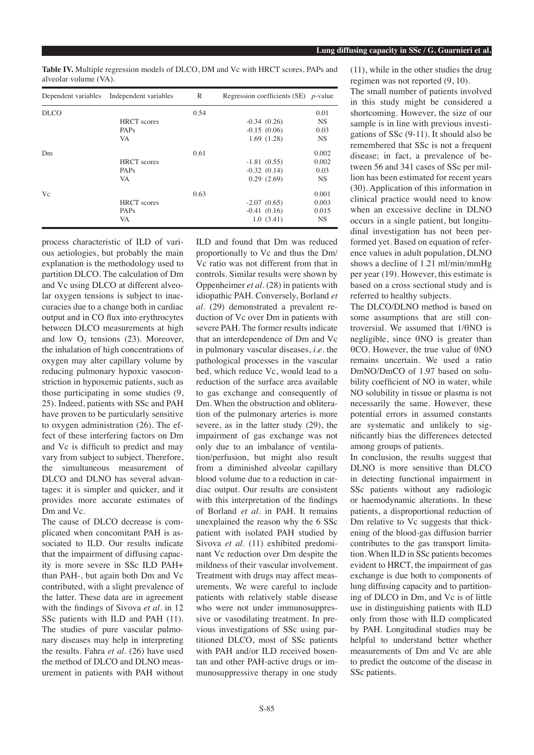**Table IV.** Multiple regression models of DLCO, DM and Vc with HRCT scores, PAPs and alveolar volume (VA).

| Dependent variables | Independent variables | $\mathbb{R}$ | Regression coefficients (SE) $p$ -value |           |
|---------------------|-----------------------|--------------|-----------------------------------------|-----------|
| <b>DLCO</b>         |                       | 0.54         |                                         | 0.01      |
|                     | <b>HRCT</b> scores    |              | $-0.34(0.26)$                           | <b>NS</b> |
|                     | PAPs                  |              | $-0.15(0.06)$                           | 0.03      |
|                     | <b>VA</b>             |              | 1.69(1.28)                              | <b>NS</b> |
| Dm                  |                       | 0.61         |                                         | 0.002     |
|                     | <b>HRCT</b> scores    |              | $-1.81(0.55)$                           | 0.002     |
|                     | PAPs                  |              | $-0.32(0.14)$                           | 0.03      |
|                     | VA                    |              | 0.29(2.69)                              | <b>NS</b> |
| Vc                  |                       | 0.63         |                                         | 0.001     |
|                     | <b>HRCT</b> scores    |              | $-2.07(0.65)$                           | 0.003     |
|                     | <b>PAPs</b>           |              | $-0.41(0.16)$                           | 0.015     |
|                     | VA                    |              | 1.0(3.41)                               | <b>NS</b> |

process characteristic of ILD of various aetiologies, but probably the main explanation is the methodology used to partition DLCO. The calculation of Dm and Vc using DLCO at different alveolar oxygen tensions is subject to inaccuracies due to a change both in cardiac output and in CO flux into erythrocytes between DLCO measurements at high and low  $O<sub>2</sub>$  tensions (23). Moreover, the inhalation of high concentrations of oxygen may alter capillary volume by reducing pulmonary hypoxic vasoconstriction in hypoxemic patients, such as those participating in some studies (9, 25). Indeed, patients with SSc and PAH have proven to be particularly sensitive to oxygen administration (26). The effect of these interfering factors on Dm and Vc is difficult to predict and may vary from subject to subject. Therefore, the simultaneous measurement of DLCO and DLNO has several advantages: it is simpler and quicker, and it provides more accurate estimates of Dm and Vc.

The cause of DLCO decrease is complicated when concomitant PAH is associated to ILD. Our results indicate that the impairment of diffusing capacity is more severe in SSc ILD PAH+ than PAH-, but again both Dm and Vc contributed, with a slight prevalence of the latter. These data are in agreement with the findings of Sivova *et al.* in 12 SSc patients with ILD and PAH  $(11)$ . The studies of pure vascular pulmonary diseases may help in interpreting the results. Fahra *et al.* (26) have used the method of DLCO and DLNO measurement in patients with PAH without

ILD and found that Dm was reduced proportionally to Vc and thus the Dm/ Vc ratio was not different from that in controls. Similar results were shown by Oppenheimer *et al.* (28) in patients with idiopathic PAH. Conversely, Borland *et al.* (29) demonstrated a prevalent reduction of Vc over Dm in patients with severe PAH. The former results indicate that an interdependence of Dm and Vc in pulmonary vascular diseases, *i.e.* the pathological processes in the vascular bed, which reduce Vc, would lead to a reduction of the surface area available to gas exchange and consequently of Dm. When the obstruction and obliteration of the pulmonary arteries is more severe, as in the latter study (29), the impairment of gas exchange was not only due to an imbalance of ventilation/perfusion, but might also result from a diminished alveolar capillary blood volume due to a reduction in cardiac output. Our results are consistent with this interpretation of the findings of Borland *et al.* in PAH. It remains unexplained the reason why the 6 SSc patient with isolated PAH studied by Sivova et al. (11) exhibited predominant Vc reduction over Dm despite the mildness of their vascular involvement. Treatment with drugs may affect measurements. We were careful to include patients with relatively stable disease who were not under immunosuppressive or vasodilating treatment. In previous investigations of SSc using partitioned DLCO, most of SSc patients with PAH and/or ILD received bosentan and other PAH-active drugs or immunosuppressive therapy in one study (11), while in the other studies the drug regimen was not reported (9, 10).

The small number of patients involved in this study might be considered a shortcoming. However, the size of our sample is in line with previous investigations of SSc (9-11). It should also be remembered that SSc is not a frequent disease; in fact, a prevalence of between 56 and 341 cases of SSc per million has been estimated for recent years (30). Application of this information in clinical practice would need to know when an excessive decline in DLNO occurs in a single patient, but longitudinal investigation has not been performed yet. Based on equation of reference values in adult population, DLNO shows a decline of 1.21 ml/min/mmHg per year (19). However, this estimate is based on a cross sectional study and is referred to healthy subjects.

The DLCO/DLNO method is based on some assumptions that are still controversial. We assumed that 1/θNO is negligible, since θNO is greater than θCO. However, the true value of θNO remains uncertain. We used a ratio DmNO/DmCO of 1.97 based on solubility coefficient of NO in water, while NO solubility in tissue or plasma is not necessarily the same. However, these potential errors in assumed constants are systematic and unlikely to significantly bias the differences detected among groups of patients.

In conclusion, the results suggest that DLNO is more sensitive than DLCO in detecting functional impairment in SSc patients without any radiologic or haemodynamic alterations. In these patients, a disproportional reduction of Dm relative to Vc suggests that thickening of the blood-gas diffusion barrier contributes to the gas transport limitation. When ILD in SSc patients becomes evident to HRCT, the impairment of gas exchange is due both to components of lung diffusing capacity and to partitioning of DLCO in Dm, and Vc is of little use in distinguishing patients with ILD only from those with ILD complicated by PAH. Longitudinal studies may be helpful to understand better whether measurements of Dm and Vc are able to predict the outcome of the disease in SSc patients.